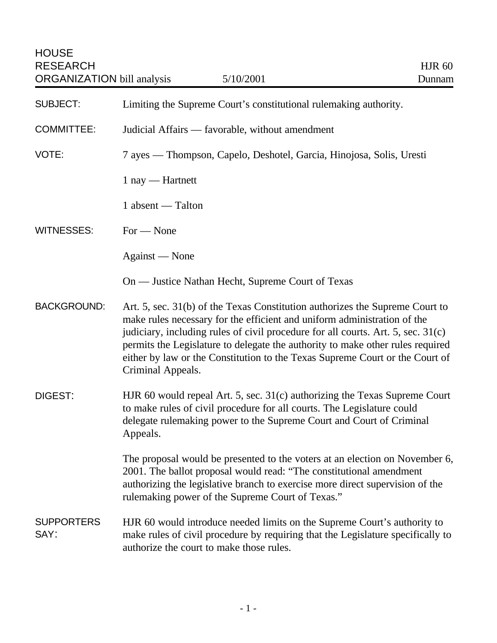| <b>SUBJECT:</b>           | Limiting the Supreme Court's constitutional rulemaking authority.                                                                                                                                                                                                                                                                                                                                                                   |
|---------------------------|-------------------------------------------------------------------------------------------------------------------------------------------------------------------------------------------------------------------------------------------------------------------------------------------------------------------------------------------------------------------------------------------------------------------------------------|
| <b>COMMITTEE:</b>         | Judicial Affairs — favorable, without amendment                                                                                                                                                                                                                                                                                                                                                                                     |
| VOTE:                     | 7 ayes — Thompson, Capelo, Deshotel, Garcia, Hinojosa, Solis, Uresti                                                                                                                                                                                                                                                                                                                                                                |
|                           | $1$ nay — Hartnett                                                                                                                                                                                                                                                                                                                                                                                                                  |
|                           | 1 absent — Talton                                                                                                                                                                                                                                                                                                                                                                                                                   |
| <b>WITNESSES:</b>         | $For - None$                                                                                                                                                                                                                                                                                                                                                                                                                        |
|                           | Against — None                                                                                                                                                                                                                                                                                                                                                                                                                      |
|                           | On — Justice Nathan Hecht, Supreme Court of Texas                                                                                                                                                                                                                                                                                                                                                                                   |
| <b>BACKGROUND:</b>        | Art. 5, sec. 31(b) of the Texas Constitution authorizes the Supreme Court to<br>make rules necessary for the efficient and uniform administration of the<br>judiciary, including rules of civil procedure for all courts. Art. 5, sec. 31(c)<br>permits the Legislature to delegate the authority to make other rules required<br>either by law or the Constitution to the Texas Supreme Court or the Court of<br>Criminal Appeals. |
| DIGEST:                   | HJR 60 would repeal Art. 5, sec. 31(c) authorizing the Texas Supreme Court<br>to make rules of civil procedure for all courts. The Legislature could<br>delegate rulemaking power to the Supreme Court and Court of Criminal<br>Appeals.                                                                                                                                                                                            |
|                           | The proposal would be presented to the voters at an election on November 6,<br>2001. The ballot proposal would read: "The constitutional amendment<br>authorizing the legislative branch to exercise more direct supervision of the<br>rulemaking power of the Supreme Court of Texas."                                                                                                                                             |
| <b>SUPPORTERS</b><br>SAY: | HJR 60 would introduce needed limits on the Supreme Court's authority to<br>make rules of civil procedure by requiring that the Legislature specifically to<br>authorize the court to make those rules.                                                                                                                                                                                                                             |